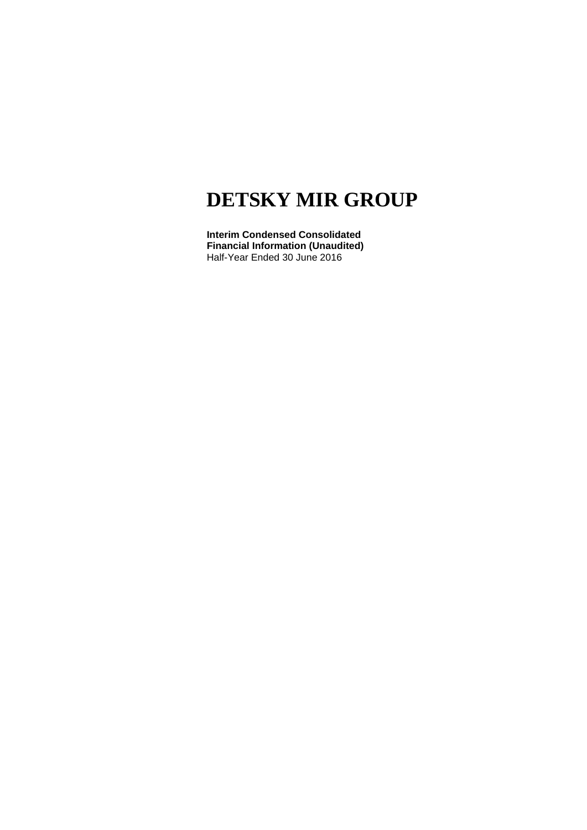**Interim Condensed Consolidated Financial Information (Unaudited)** Half-Year Ended 30 June 2016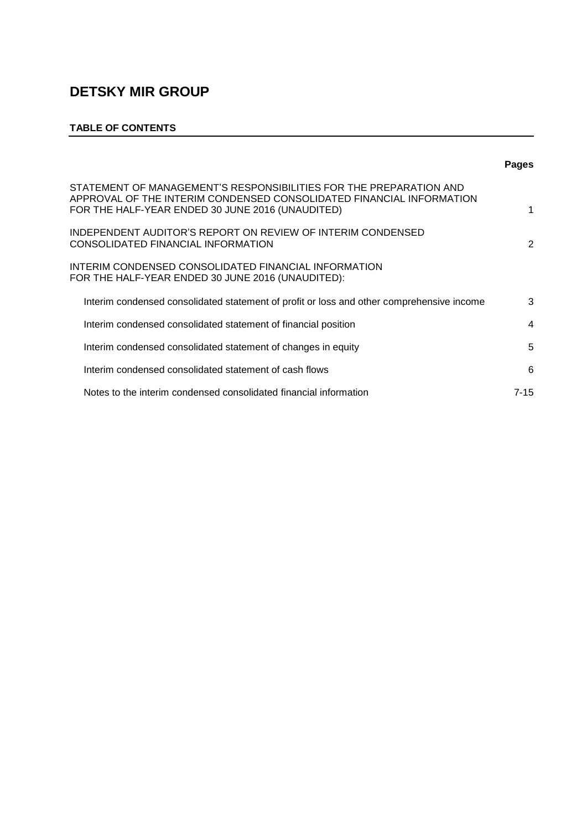### **TABLE OF CONTENTS**

|                                                                                                                                                                                                | <b>Pages</b> |
|------------------------------------------------------------------------------------------------------------------------------------------------------------------------------------------------|--------------|
| STATEMENT OF MANAGEMENT'S RESPONSIBILITIES FOR THE PREPARATION AND<br>APPROVAL OF THE INTERIM CONDENSED CONSOLIDATED FINANCIAL INFORMATION<br>FOR THE HALF-YEAR ENDED 30 JUNE 2016 (UNAUDITED) | 1            |
| INDEPENDENT AUDITOR'S REPORT ON REVIEW OF INTERIM CONDENSED<br>CONSOLIDATED FINANCIAL INFORMATION                                                                                              | 2            |
| INTERIM CONDENSED CONSOLIDATED FINANCIAL INFORMATION<br>FOR THE HALF-YEAR ENDED 30 JUNE 2016 (UNAUDITED):                                                                                      |              |
| Interim condensed consolidated statement of profit or loss and other comprehensive income                                                                                                      | 3            |
| Interim condensed consolidated statement of financial position                                                                                                                                 | 4            |
| Interim condensed consolidated statement of changes in equity                                                                                                                                  | 5            |
| Interim condensed consolidated statement of cash flows                                                                                                                                         | 6            |
| Notes to the interim condensed consolidated financial information                                                                                                                              | 7-15         |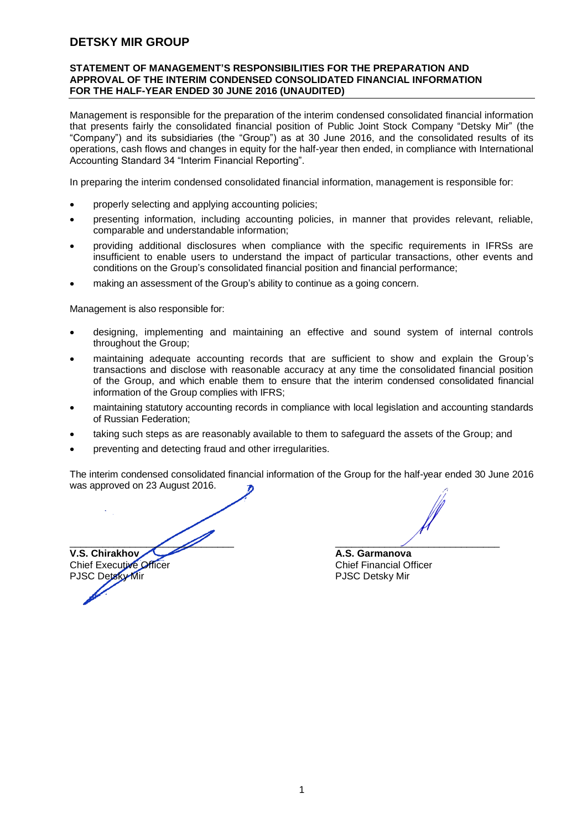#### **STATEMENT OF MANAGEMENT'S RESPONSIBILITIES FOR THE PREPARATION AND APPROVAL OF THE INTERIM CONDENSED CONSOLIDATED FINANCIAL INFORMATION FOR THE HALF-YEAR ENDED 30 JUNE 2016 (UNAUDITED)**

Management is responsible for the preparation of the interim condensed consolidated financial information that presents fairly the consolidated financial position of Public Joint Stock Company "Detsky Mir" (the "Company") and its subsidiaries (the "Group") as at 30 June 2016, and the consolidated results of its operations, cash flows and changes in equity for the half-year then ended, in compliance with International Accounting Standard 34 "Interim Financial Reporting".

In preparing the interim condensed consolidated financial information, management is responsible for:

- properly selecting and applying accounting policies;
- presenting information, including accounting policies, in manner that provides relevant, reliable, comparable and understandable information;
- providing additional disclosures when compliance with the specific requirements in IFRSs are insufficient to enable users to understand the impact of particular transactions, other events and conditions on the Group's consolidated financial position and financial performance;
- making an assessment of the Group's ability to continue as a going concern.

Management is also responsible for:

- designing, implementing and maintaining an effective and sound system of internal controls throughout the Group;
- maintaining adequate accounting records that are sufficient to show and explain the Group's transactions and disclose with reasonable accuracy at any time the consolidated financial position of the Group, and which enable them to ensure that the interim condensed consolidated financial information of the Group complies with IFRS;
- maintaining statutory accounting records in compliance with local legislation and accounting standards of Russian Federation;
- taking such steps as are reasonably available to them to safeguard the assets of the Group; and
- preventing and detecting fraud and other irregularities.

The interim condensed consolidated financial information of the Group for the half-year ended 30 June 2016 was approved on 23 August 2016.

 $\overline{\phantom{a}}$  ,  $\overline{\phantom{a}}$  ,  $\overline{\phantom{a}}$  ,  $\overline{\phantom{a}}$  ,  $\overline{\phantom{a}}$  ,  $\overline{\phantom{a}}$  ,  $\overline{\phantom{a}}$  ,  $\overline{\phantom{a}}$  ,  $\overline{\phantom{a}}$  ,  $\overline{\phantom{a}}$  ,  $\overline{\phantom{a}}$  ,  $\overline{\phantom{a}}$  ,  $\overline{\phantom{a}}$  ,  $\overline{\phantom{a}}$  ,  $\overline{\phantom{a}}$  ,  $\overline{\phantom{a}}$ **V.S. Chirakhov A.S. Garmanova A.S. Garmanova** Chief Executive Officer<br>
PJSC Detsky Mir<br>
PJSC Detsky Mir

PJSC Detsky Mir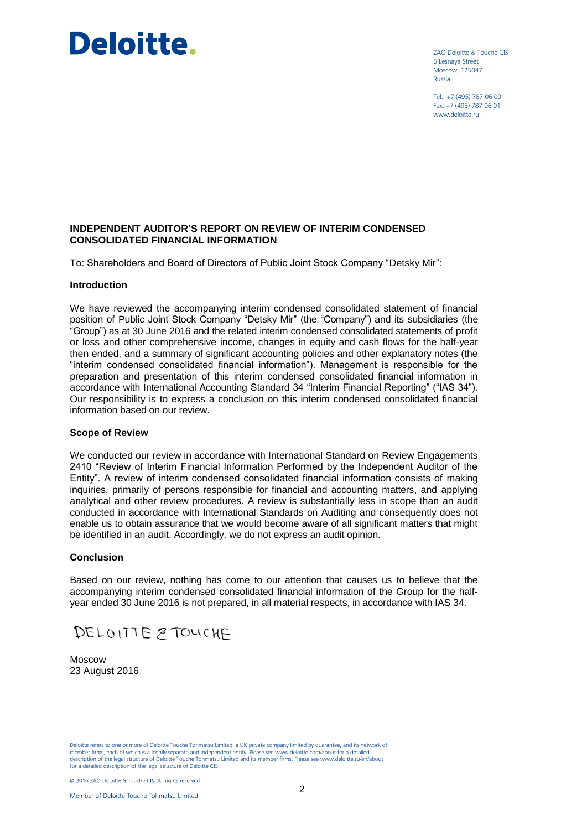# **Deloitte.**

ZAO Deloitte & Touche CIS 5 Lesnaya Street Moscow, 125047 Russia

Tel: +7 (495) 787 06 00 Fax: +7 (495) 787 06 01 www.deloitte.ru

#### **INDEPENDENT AUDITOR'S REPORT ON REVIEW OF INTERIM CONDENSED CONSOLIDATED FINANCIAL INFORMATION**

To: Shareholders and Board of Directors of Public Joint Stock Company "Detsky Mir":

#### **Introduction**

We have reviewed the accompanying interim condensed consolidated statement of financial position of Public Joint Stock Company "Detsky Mir" (the "Company") and its subsidiaries (the "Group") as at 30 June 2016 and the related interim condensed consolidated statements of profit or loss and other comprehensive income, changes in equity and cash flows for the half-year then ended, and a summary of significant accounting policies and other explanatory notes (the "interim condensed consolidated financial information"). Management is responsible for the preparation and presentation of this interim condensed consolidated financial information in accordance with International Accounting Standard 34 "Interim Financial Reporting" ("IAS 34"). Our responsibility is to express a conclusion on this interim condensed consolidated financial information based on our review.

#### **Scope of Review**

We conducted our review in accordance with International Standard on Review Engagements 2410 "Review of Interim Financial Information Performed by the Independent Auditor of the Entity". A review of interim condensed consolidated financial information consists of making inquiries, primarily of persons responsible for financial and accounting matters, and applying analytical and other review procedures. A review is substantially less in scope than an audit conducted in accordance with International Standards on Auditing and consequently does not enable us to obtain assurance that we would become aware of all significant matters that might be identified in an audit. Accordingly, we do not express an audit opinion.

#### **Conclusion**

Based on our review, nothing has come to our attention that causes us to believe that the accompanying interim condensed consolidated financial information of the Group for the halfyear ended 30 June 2016 is not prepared, in all material respects, in accordance with IAS 34.

DELOITTE 2 TOUCHE

Moscow 23 August 2016

Deloitte refers to one or more of Deloitte Touche Tohmatsu Limited, a UK private company limited by guarantee, and its network of member firms, each of which is a legally senarate and independent entity. Please see www.del member firms, each of which is a legally separate and independent entity. Please see www.deloitte.com/about for a detailed separate and independent entity. Please see www.deloitte.com/about for a detailed separate and inde description of the legal structure of Deloitte Touche Tohmatsu Limited and its member firms. Please see www.deloitte.ru/en/about for a detailed description of the legal structure of Deloitte CIS.

© 2016 ZAO Deloitte & Touche CIS. All rights reserved.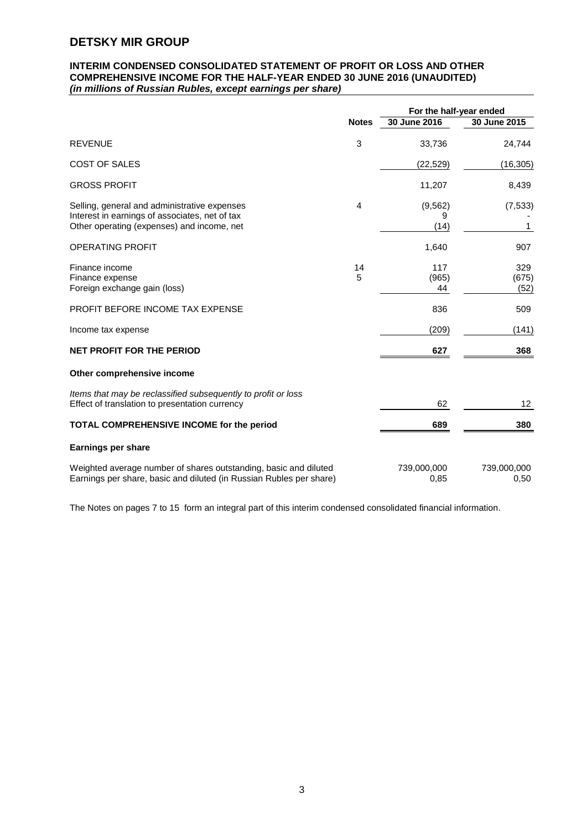#### **INTERIM CONDENSED CONSOLIDATED STATEMENT OF PROFIT OR LOSS AND OTHER COMPREHENSIVE INCOME FOR THE HALF-YEAR ENDED 30 JUNE 2016 (UNAUDITED)** *(in millions of Russian Rubles, except earnings per share)*

|                                                                                                                                              |              | For the half-year ended |                      |
|----------------------------------------------------------------------------------------------------------------------------------------------|--------------|-------------------------|----------------------|
|                                                                                                                                              | <b>Notes</b> | 30 June 2016            | 30 June 2015         |
| <b>REVENUE</b>                                                                                                                               | 3            | 33,736                  | 24,744               |
| <b>COST OF SALES</b>                                                                                                                         |              | (22, 529)               | (16, 305)            |
| <b>GROSS PROFIT</b>                                                                                                                          |              | 11,207                  | 8,439                |
| Selling, general and administrative expenses<br>Interest in earnings of associates, net of tax<br>Other operating (expenses) and income, net | 4            | (9, 562)<br>9<br>(14)   | (7, 533)<br>1        |
| <b>OPERATING PROFIT</b>                                                                                                                      |              | 1,640                   | 907                  |
| Finance income<br>Finance expense<br>Foreign exchange gain (loss)                                                                            | 14<br>5      | 117<br>(965)<br>44      | 329<br>(675)<br>(52) |
| PROFIT BEFORE INCOME TAX EXPENSE                                                                                                             |              | 836                     | 509                  |
| Income tax expense                                                                                                                           |              | (209)                   | (141)                |
| <b>NET PROFIT FOR THE PERIOD</b>                                                                                                             |              | 627                     | 368                  |
| Other comprehensive income                                                                                                                   |              |                         |                      |
| Items that may be reclassified subsequently to profit or loss<br>Effect of translation to presentation currency                              |              | 62                      | 12                   |
| TOTAL COMPREHENSIVE INCOME for the period                                                                                                    |              | 689                     | 380                  |
| <b>Earnings per share</b>                                                                                                                    |              |                         |                      |
| Weighted average number of shares outstanding, basic and diluted<br>Earnings per share, basic and diluted (in Russian Rubles per share)      |              | 739,000,000<br>0,85     | 739,000,000<br>0,50  |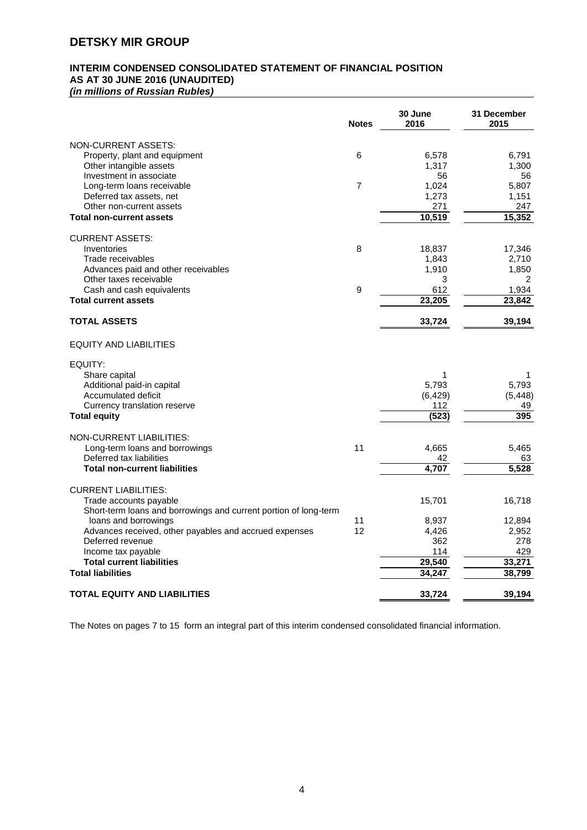# **INTERIM CONDENSED CONSOLIDATED STATEMENT OF FINANCIAL POSITION AS AT 30 JUNE 2016 (UNAUDITED)**

*(in millions of Russian Rubles)*

|                                                                  | <b>Notes</b> | 30 June<br>2016 | 31 December<br>2015 |
|------------------------------------------------------------------|--------------|-----------------|---------------------|
| <b>NON-CURRENT ASSETS:</b>                                       |              |                 |                     |
| Property, plant and equipment                                    | 6            | 6,578           | 6,791               |
| Other intangible assets                                          |              | 1,317           | 1,300               |
| Investment in associate                                          |              | 56              | 56                  |
| Long-term loans receivable                                       | 7            | 1,024           | 5,807               |
| Deferred tax assets, net                                         |              | 1,273           | 1,151               |
| Other non-current assets                                         |              | 271             | 247                 |
| <b>Total non-current assets</b>                                  |              | 10,519          | 15,352              |
| <b>CURRENT ASSETS:</b>                                           |              |                 |                     |
| Inventories                                                      | 8            | 18,837          | 17,346              |
| Trade receivables                                                |              | 1,843           | 2,710               |
| Advances paid and other receivables                              |              | 1,910           | 1,850               |
| Other taxes receivable                                           |              | 3               | 2                   |
| Cash and cash equivalents                                        | 9            | 612             | 1,934               |
| <b>Total current assets</b>                                      |              | 23,205          | 23,842              |
| <b>TOTAL ASSETS</b>                                              |              | 33,724          | 39,194              |
| EQUITY AND LIABILITIES                                           |              |                 |                     |
| EQUITY:                                                          |              |                 |                     |
| Share capital                                                    |              | 1               | 1                   |
| Additional paid-in capital                                       |              | 5,793           | 5,793               |
| Accumulated deficit                                              |              | (6, 429)        | (5, 448)            |
| Currency translation reserve                                     |              | 112             | 49                  |
| <b>Total equity</b>                                              |              | (523)           | 395                 |
| <b>NON-CURRENT LIABILITIES:</b>                                  |              |                 |                     |
| Long-term loans and borrowings                                   | 11           | 4,665           | 5,465               |
| Deferred tax liabilities                                         |              | 42              | 63                  |
| <b>Total non-current liabilities</b>                             |              | 4.707           | 5,528               |
| <b>CURRENT LIABILITIES:</b>                                      |              |                 |                     |
| Trade accounts payable                                           |              | 15,701          | 16,718              |
| Short-term loans and borrowings and current portion of long-term |              |                 |                     |
| loans and borrowings                                             | 11           | 8,937           | 12,894              |
| Advances received, other payables and accrued expenses           | 12           | 4,426           | 2,952               |
| Deferred revenue                                                 |              | 362             | 278                 |
| Income tax payable                                               |              | 114<br>29,540   | 429                 |
| <b>Total current liabilities</b>                                 |              |                 | 33.271              |
| <b>Total liabilities</b>                                         |              | 34,247          | 38,799              |
| <b>TOTAL EQUITY AND LIABILITIES</b>                              |              | 33,724          | 39,194              |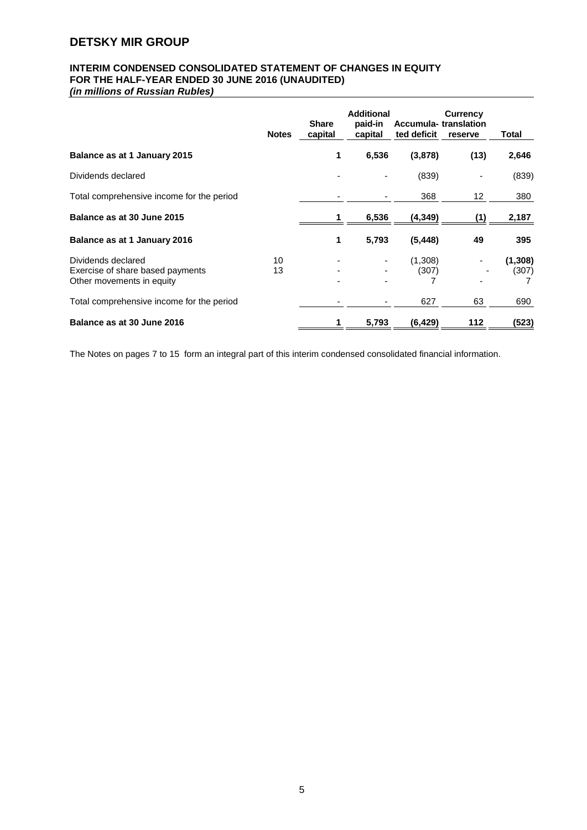# **INTERIM CONDENSED CONSOLIDATED STATEMENT OF CHANGES IN EQUITY FOR THE HALF-YEAR ENDED 30 JUNE 2016 (UNAUDITED)**

*(in millions of Russian Rubles)*

|                                                                                     | <b>Notes</b> | <b>Share</b><br>capital | <b>Additional</b><br>paid-in<br>capital | ted deficit      | <b>Currency</b><br>Accumula-translation<br>reserve | Total             |
|-------------------------------------------------------------------------------------|--------------|-------------------------|-----------------------------------------|------------------|----------------------------------------------------|-------------------|
| Balance as at 1 January 2015                                                        |              | 1                       | 6,536                                   | (3,878)          | (13)                                               | 2,646             |
| Dividends declared                                                                  |              |                         |                                         | (839)            |                                                    | (839)             |
| Total comprehensive income for the period                                           |              |                         |                                         | 368              | 12                                                 | 380               |
| Balance as at 30 June 2015                                                          |              |                         | 6,536                                   | (4, 349)         | (1)                                                | 2,187             |
| Balance as at 1 January 2016                                                        |              | 1                       | 5,793                                   | (5, 448)         | 49                                                 | 395               |
| Dividends declared<br>Exercise of share based payments<br>Other movements in equity | 10<br>13     |                         |                                         | (1,308)<br>(307) |                                                    | (1, 308)<br>(307) |
| Total comprehensive income for the period                                           |              |                         |                                         | 627              | 63                                                 | 690               |
| Balance as at 30 June 2016                                                          |              |                         | 5,793                                   | (6, 429)         | 112                                                | (523)             |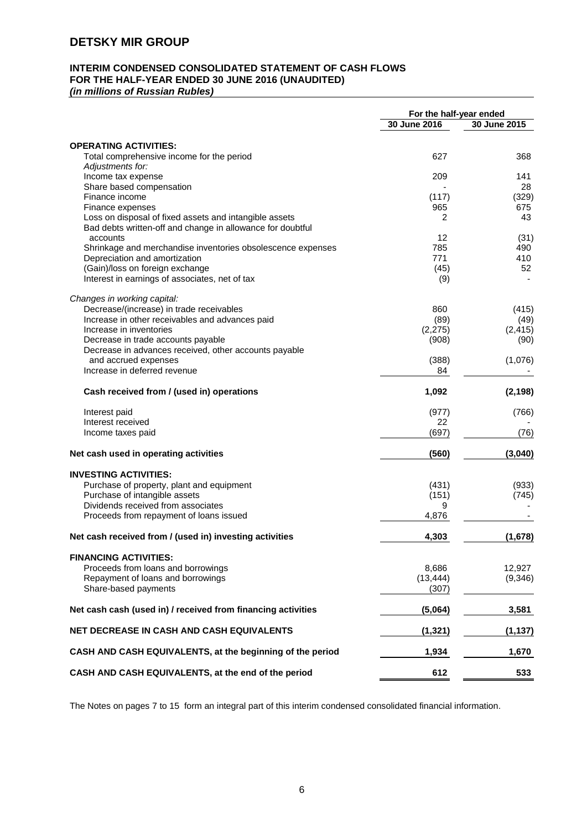# **INTERIM CONDENSED CONSOLIDATED STATEMENT OF CASH FLOWS FOR THE HALF-YEAR ENDED 30 JUNE 2016 (UNAUDITED)**

*(in millions of Russian Rubles)*

| 30 June 2016<br>30 June 2015<br><b>OPERATING ACTIVITIES:</b><br>Total comprehensive income for the period<br>627<br>368<br>Adjustments for:<br>Income tax expense<br>209<br>141<br>Share based compensation<br>28<br>(117)<br>(329)<br>Finance income<br>965<br>675<br>Finance expenses<br>Loss on disposal of fixed assets and intangible assets<br>2<br>43<br>Bad debts written-off and change in allowance for doubtful<br>accounts<br>12<br>(31)<br>785<br>Shrinkage and merchandise inventories obsolescence expenses<br>490<br>771<br>410<br>Depreciation and amortization<br>(Gain)/loss on foreign exchange<br>(45)<br>52<br>Interest in earnings of associates, net of tax<br>(9)<br>Changes in working capital:<br>Decrease/(increase) in trade receivables<br>860<br>(415)<br>Increase in other receivables and advances paid<br>(89)<br>(49)<br>Increase in inventories<br>(2, 275)<br>(2, 415)<br>Decrease in trade accounts payable<br>(908)<br>(90)<br>Decrease in advances received, other accounts payable<br>and accrued expenses<br>(388)<br>(1,076)<br>Increase in deferred revenue<br>84<br>Cash received from / (used in) operations<br>1,092<br>(2, 198)<br>(977)<br>Interest paid<br>(766)<br>Interest received<br>22<br>(697)<br>(76)<br>Income taxes paid<br>Net cash used in operating activities<br>(560)<br>(3,040)<br><b>INVESTING ACTIVITIES:</b><br>Purchase of property, plant and equipment<br>(431)<br>(933)<br>Purchase of intangible assets<br>(151)<br>(745)<br>Dividends received from associates<br>9<br>Proceeds from repayment of loans issued<br>4,876<br>Net cash received from / (used in) investing activities<br>4,303<br>(1,678)<br><b>FINANCING ACTIVITIES:</b><br>Proceeds from loans and borrowings<br>12,927<br>8,686<br>Repayment of loans and borrowings<br>(13, 444)<br>Share-based payments<br>(307)<br>Net cash cash (used in) / received from financing activities<br>(5,064)<br>3,581<br>NET DECREASE IN CASH AND CASH EQUIVALENTS<br>(1, 321)<br>(1, 137)<br>CASH AND CASH EQUIVALENTS, at the beginning of the period<br>1,934<br>1,670<br>CASH AND CASH EQUIVALENTS, at the end of the period<br>612<br>533 | For the half-year ended |         |
|---------------------------------------------------------------------------------------------------------------------------------------------------------------------------------------------------------------------------------------------------------------------------------------------------------------------------------------------------------------------------------------------------------------------------------------------------------------------------------------------------------------------------------------------------------------------------------------------------------------------------------------------------------------------------------------------------------------------------------------------------------------------------------------------------------------------------------------------------------------------------------------------------------------------------------------------------------------------------------------------------------------------------------------------------------------------------------------------------------------------------------------------------------------------------------------------------------------------------------------------------------------------------------------------------------------------------------------------------------------------------------------------------------------------------------------------------------------------------------------------------------------------------------------------------------------------------------------------------------------------------------------------------------------------------------------------------------------------------------------------------------------------------------------------------------------------------------------------------------------------------------------------------------------------------------------------------------------------------------------------------------------------------------------------------------------------------------------------------------------------------------------------------------------------------|-------------------------|---------|
|                                                                                                                                                                                                                                                                                                                                                                                                                                                                                                                                                                                                                                                                                                                                                                                                                                                                                                                                                                                                                                                                                                                                                                                                                                                                                                                                                                                                                                                                                                                                                                                                                                                                                                                                                                                                                                                                                                                                                                                                                                                                                                                                                                           |                         |         |
|                                                                                                                                                                                                                                                                                                                                                                                                                                                                                                                                                                                                                                                                                                                                                                                                                                                                                                                                                                                                                                                                                                                                                                                                                                                                                                                                                                                                                                                                                                                                                                                                                                                                                                                                                                                                                                                                                                                                                                                                                                                                                                                                                                           |                         |         |
|                                                                                                                                                                                                                                                                                                                                                                                                                                                                                                                                                                                                                                                                                                                                                                                                                                                                                                                                                                                                                                                                                                                                                                                                                                                                                                                                                                                                                                                                                                                                                                                                                                                                                                                                                                                                                                                                                                                                                                                                                                                                                                                                                                           |                         |         |
|                                                                                                                                                                                                                                                                                                                                                                                                                                                                                                                                                                                                                                                                                                                                                                                                                                                                                                                                                                                                                                                                                                                                                                                                                                                                                                                                                                                                                                                                                                                                                                                                                                                                                                                                                                                                                                                                                                                                                                                                                                                                                                                                                                           |                         |         |
|                                                                                                                                                                                                                                                                                                                                                                                                                                                                                                                                                                                                                                                                                                                                                                                                                                                                                                                                                                                                                                                                                                                                                                                                                                                                                                                                                                                                                                                                                                                                                                                                                                                                                                                                                                                                                                                                                                                                                                                                                                                                                                                                                                           |                         |         |
|                                                                                                                                                                                                                                                                                                                                                                                                                                                                                                                                                                                                                                                                                                                                                                                                                                                                                                                                                                                                                                                                                                                                                                                                                                                                                                                                                                                                                                                                                                                                                                                                                                                                                                                                                                                                                                                                                                                                                                                                                                                                                                                                                                           |                         |         |
|                                                                                                                                                                                                                                                                                                                                                                                                                                                                                                                                                                                                                                                                                                                                                                                                                                                                                                                                                                                                                                                                                                                                                                                                                                                                                                                                                                                                                                                                                                                                                                                                                                                                                                                                                                                                                                                                                                                                                                                                                                                                                                                                                                           |                         |         |
|                                                                                                                                                                                                                                                                                                                                                                                                                                                                                                                                                                                                                                                                                                                                                                                                                                                                                                                                                                                                                                                                                                                                                                                                                                                                                                                                                                                                                                                                                                                                                                                                                                                                                                                                                                                                                                                                                                                                                                                                                                                                                                                                                                           |                         |         |
|                                                                                                                                                                                                                                                                                                                                                                                                                                                                                                                                                                                                                                                                                                                                                                                                                                                                                                                                                                                                                                                                                                                                                                                                                                                                                                                                                                                                                                                                                                                                                                                                                                                                                                                                                                                                                                                                                                                                                                                                                                                                                                                                                                           |                         |         |
|                                                                                                                                                                                                                                                                                                                                                                                                                                                                                                                                                                                                                                                                                                                                                                                                                                                                                                                                                                                                                                                                                                                                                                                                                                                                                                                                                                                                                                                                                                                                                                                                                                                                                                                                                                                                                                                                                                                                                                                                                                                                                                                                                                           |                         |         |
|                                                                                                                                                                                                                                                                                                                                                                                                                                                                                                                                                                                                                                                                                                                                                                                                                                                                                                                                                                                                                                                                                                                                                                                                                                                                                                                                                                                                                                                                                                                                                                                                                                                                                                                                                                                                                                                                                                                                                                                                                                                                                                                                                                           |                         |         |
|                                                                                                                                                                                                                                                                                                                                                                                                                                                                                                                                                                                                                                                                                                                                                                                                                                                                                                                                                                                                                                                                                                                                                                                                                                                                                                                                                                                                                                                                                                                                                                                                                                                                                                                                                                                                                                                                                                                                                                                                                                                                                                                                                                           |                         |         |
|                                                                                                                                                                                                                                                                                                                                                                                                                                                                                                                                                                                                                                                                                                                                                                                                                                                                                                                                                                                                                                                                                                                                                                                                                                                                                                                                                                                                                                                                                                                                                                                                                                                                                                                                                                                                                                                                                                                                                                                                                                                                                                                                                                           |                         |         |
|                                                                                                                                                                                                                                                                                                                                                                                                                                                                                                                                                                                                                                                                                                                                                                                                                                                                                                                                                                                                                                                                                                                                                                                                                                                                                                                                                                                                                                                                                                                                                                                                                                                                                                                                                                                                                                                                                                                                                                                                                                                                                                                                                                           |                         |         |
|                                                                                                                                                                                                                                                                                                                                                                                                                                                                                                                                                                                                                                                                                                                                                                                                                                                                                                                                                                                                                                                                                                                                                                                                                                                                                                                                                                                                                                                                                                                                                                                                                                                                                                                                                                                                                                                                                                                                                                                                                                                                                                                                                                           |                         |         |
|                                                                                                                                                                                                                                                                                                                                                                                                                                                                                                                                                                                                                                                                                                                                                                                                                                                                                                                                                                                                                                                                                                                                                                                                                                                                                                                                                                                                                                                                                                                                                                                                                                                                                                                                                                                                                                                                                                                                                                                                                                                                                                                                                                           |                         |         |
|                                                                                                                                                                                                                                                                                                                                                                                                                                                                                                                                                                                                                                                                                                                                                                                                                                                                                                                                                                                                                                                                                                                                                                                                                                                                                                                                                                                                                                                                                                                                                                                                                                                                                                                                                                                                                                                                                                                                                                                                                                                                                                                                                                           |                         |         |
|                                                                                                                                                                                                                                                                                                                                                                                                                                                                                                                                                                                                                                                                                                                                                                                                                                                                                                                                                                                                                                                                                                                                                                                                                                                                                                                                                                                                                                                                                                                                                                                                                                                                                                                                                                                                                                                                                                                                                                                                                                                                                                                                                                           |                         |         |
|                                                                                                                                                                                                                                                                                                                                                                                                                                                                                                                                                                                                                                                                                                                                                                                                                                                                                                                                                                                                                                                                                                                                                                                                                                                                                                                                                                                                                                                                                                                                                                                                                                                                                                                                                                                                                                                                                                                                                                                                                                                                                                                                                                           |                         |         |
|                                                                                                                                                                                                                                                                                                                                                                                                                                                                                                                                                                                                                                                                                                                                                                                                                                                                                                                                                                                                                                                                                                                                                                                                                                                                                                                                                                                                                                                                                                                                                                                                                                                                                                                                                                                                                                                                                                                                                                                                                                                                                                                                                                           |                         |         |
|                                                                                                                                                                                                                                                                                                                                                                                                                                                                                                                                                                                                                                                                                                                                                                                                                                                                                                                                                                                                                                                                                                                                                                                                                                                                                                                                                                                                                                                                                                                                                                                                                                                                                                                                                                                                                                                                                                                                                                                                                                                                                                                                                                           |                         |         |
|                                                                                                                                                                                                                                                                                                                                                                                                                                                                                                                                                                                                                                                                                                                                                                                                                                                                                                                                                                                                                                                                                                                                                                                                                                                                                                                                                                                                                                                                                                                                                                                                                                                                                                                                                                                                                                                                                                                                                                                                                                                                                                                                                                           |                         |         |
|                                                                                                                                                                                                                                                                                                                                                                                                                                                                                                                                                                                                                                                                                                                                                                                                                                                                                                                                                                                                                                                                                                                                                                                                                                                                                                                                                                                                                                                                                                                                                                                                                                                                                                                                                                                                                                                                                                                                                                                                                                                                                                                                                                           |                         |         |
|                                                                                                                                                                                                                                                                                                                                                                                                                                                                                                                                                                                                                                                                                                                                                                                                                                                                                                                                                                                                                                                                                                                                                                                                                                                                                                                                                                                                                                                                                                                                                                                                                                                                                                                                                                                                                                                                                                                                                                                                                                                                                                                                                                           |                         |         |
|                                                                                                                                                                                                                                                                                                                                                                                                                                                                                                                                                                                                                                                                                                                                                                                                                                                                                                                                                                                                                                                                                                                                                                                                                                                                                                                                                                                                                                                                                                                                                                                                                                                                                                                                                                                                                                                                                                                                                                                                                                                                                                                                                                           |                         |         |
|                                                                                                                                                                                                                                                                                                                                                                                                                                                                                                                                                                                                                                                                                                                                                                                                                                                                                                                                                                                                                                                                                                                                                                                                                                                                                                                                                                                                                                                                                                                                                                                                                                                                                                                                                                                                                                                                                                                                                                                                                                                                                                                                                                           |                         |         |
|                                                                                                                                                                                                                                                                                                                                                                                                                                                                                                                                                                                                                                                                                                                                                                                                                                                                                                                                                                                                                                                                                                                                                                                                                                                                                                                                                                                                                                                                                                                                                                                                                                                                                                                                                                                                                                                                                                                                                                                                                                                                                                                                                                           |                         |         |
|                                                                                                                                                                                                                                                                                                                                                                                                                                                                                                                                                                                                                                                                                                                                                                                                                                                                                                                                                                                                                                                                                                                                                                                                                                                                                                                                                                                                                                                                                                                                                                                                                                                                                                                                                                                                                                                                                                                                                                                                                                                                                                                                                                           |                         |         |
|                                                                                                                                                                                                                                                                                                                                                                                                                                                                                                                                                                                                                                                                                                                                                                                                                                                                                                                                                                                                                                                                                                                                                                                                                                                                                                                                                                                                                                                                                                                                                                                                                                                                                                                                                                                                                                                                                                                                                                                                                                                                                                                                                                           |                         |         |
|                                                                                                                                                                                                                                                                                                                                                                                                                                                                                                                                                                                                                                                                                                                                                                                                                                                                                                                                                                                                                                                                                                                                                                                                                                                                                                                                                                                                                                                                                                                                                                                                                                                                                                                                                                                                                                                                                                                                                                                                                                                                                                                                                                           |                         |         |
|                                                                                                                                                                                                                                                                                                                                                                                                                                                                                                                                                                                                                                                                                                                                                                                                                                                                                                                                                                                                                                                                                                                                                                                                                                                                                                                                                                                                                                                                                                                                                                                                                                                                                                                                                                                                                                                                                                                                                                                                                                                                                                                                                                           |                         |         |
|                                                                                                                                                                                                                                                                                                                                                                                                                                                                                                                                                                                                                                                                                                                                                                                                                                                                                                                                                                                                                                                                                                                                                                                                                                                                                                                                                                                                                                                                                                                                                                                                                                                                                                                                                                                                                                                                                                                                                                                                                                                                                                                                                                           |                         |         |
|                                                                                                                                                                                                                                                                                                                                                                                                                                                                                                                                                                                                                                                                                                                                                                                                                                                                                                                                                                                                                                                                                                                                                                                                                                                                                                                                                                                                                                                                                                                                                                                                                                                                                                                                                                                                                                                                                                                                                                                                                                                                                                                                                                           |                         |         |
|                                                                                                                                                                                                                                                                                                                                                                                                                                                                                                                                                                                                                                                                                                                                                                                                                                                                                                                                                                                                                                                                                                                                                                                                                                                                                                                                                                                                                                                                                                                                                                                                                                                                                                                                                                                                                                                                                                                                                                                                                                                                                                                                                                           |                         |         |
|                                                                                                                                                                                                                                                                                                                                                                                                                                                                                                                                                                                                                                                                                                                                                                                                                                                                                                                                                                                                                                                                                                                                                                                                                                                                                                                                                                                                                                                                                                                                                                                                                                                                                                                                                                                                                                                                                                                                                                                                                                                                                                                                                                           |                         |         |
|                                                                                                                                                                                                                                                                                                                                                                                                                                                                                                                                                                                                                                                                                                                                                                                                                                                                                                                                                                                                                                                                                                                                                                                                                                                                                                                                                                                                                                                                                                                                                                                                                                                                                                                                                                                                                                                                                                                                                                                                                                                                                                                                                                           |                         |         |
|                                                                                                                                                                                                                                                                                                                                                                                                                                                                                                                                                                                                                                                                                                                                                                                                                                                                                                                                                                                                                                                                                                                                                                                                                                                                                                                                                                                                                                                                                                                                                                                                                                                                                                                                                                                                                                                                                                                                                                                                                                                                                                                                                                           |                         |         |
|                                                                                                                                                                                                                                                                                                                                                                                                                                                                                                                                                                                                                                                                                                                                                                                                                                                                                                                                                                                                                                                                                                                                                                                                                                                                                                                                                                                                                                                                                                                                                                                                                                                                                                                                                                                                                                                                                                                                                                                                                                                                                                                                                                           |                         |         |
|                                                                                                                                                                                                                                                                                                                                                                                                                                                                                                                                                                                                                                                                                                                                                                                                                                                                                                                                                                                                                                                                                                                                                                                                                                                                                                                                                                                                                                                                                                                                                                                                                                                                                                                                                                                                                                                                                                                                                                                                                                                                                                                                                                           |                         | (9,346) |
|                                                                                                                                                                                                                                                                                                                                                                                                                                                                                                                                                                                                                                                                                                                                                                                                                                                                                                                                                                                                                                                                                                                                                                                                                                                                                                                                                                                                                                                                                                                                                                                                                                                                                                                                                                                                                                                                                                                                                                                                                                                                                                                                                                           |                         |         |
|                                                                                                                                                                                                                                                                                                                                                                                                                                                                                                                                                                                                                                                                                                                                                                                                                                                                                                                                                                                                                                                                                                                                                                                                                                                                                                                                                                                                                                                                                                                                                                                                                                                                                                                                                                                                                                                                                                                                                                                                                                                                                                                                                                           |                         |         |
|                                                                                                                                                                                                                                                                                                                                                                                                                                                                                                                                                                                                                                                                                                                                                                                                                                                                                                                                                                                                                                                                                                                                                                                                                                                                                                                                                                                                                                                                                                                                                                                                                                                                                                                                                                                                                                                                                                                                                                                                                                                                                                                                                                           |                         |         |
|                                                                                                                                                                                                                                                                                                                                                                                                                                                                                                                                                                                                                                                                                                                                                                                                                                                                                                                                                                                                                                                                                                                                                                                                                                                                                                                                                                                                                                                                                                                                                                                                                                                                                                                                                                                                                                                                                                                                                                                                                                                                                                                                                                           |                         |         |
|                                                                                                                                                                                                                                                                                                                                                                                                                                                                                                                                                                                                                                                                                                                                                                                                                                                                                                                                                                                                                                                                                                                                                                                                                                                                                                                                                                                                                                                                                                                                                                                                                                                                                                                                                                                                                                                                                                                                                                                                                                                                                                                                                                           |                         |         |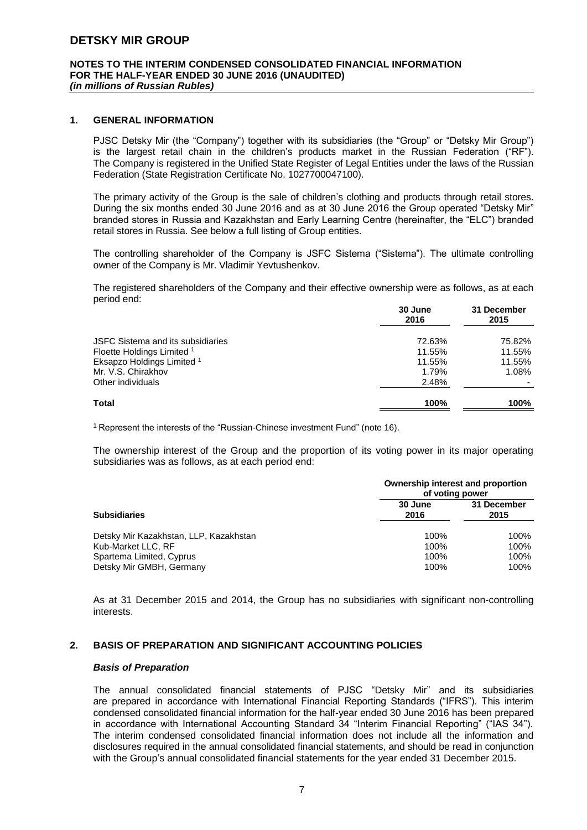#### **NOTES TO THE INTERIM CONDENSED CONSOLIDATED FINANCIAL INFORMATION FOR THE HALF-YEAR ENDED 30 JUNE 2016 (UNAUDITED)** *(in millions of Russian Rubles)*

#### **1. GENERAL INFORMATION**

PJSC Detsky Mir (the "Company") together with its subsidiaries (the "Group" or "Detsky Mir Group") is the largest retail chain in the children's products market in the Russian Federation ("RF"). The Company is registered in the Unified State Register of Legal Entities under the laws of the Russian Federation (State Registration Certificate No. 1027700047100).

The primary activity of the Group is the sale of children's clothing and products through retail stores. During the six months ended 30 June 2016 and as at 30 June 2016 the Group operated "Detsky Mir" branded stores in Russia and Kazakhstan and Early Learning Centre (hereinafter, the "ELC") branded retail stores in Russia. See below a full listing of Group entities.

The controlling shareholder of the Company is JSFC Sistema ("Sistema"). The ultimate controlling owner of the Company is Mr. Vladimir Yevtushenkov.

The registered shareholders of the Company and their effective ownership were as follows, as at each period end:

|                                   | 30 June<br>2016 | 31 December<br>2015 |
|-----------------------------------|-----------------|---------------------|
| JSFC Sistema and its subsidiaries | 72.63%          | 75.82%              |
| Floette Holdings Limited 1        | 11.55%          | 11.55%              |
| Eksapzo Holdings Limited 1        | 11.55%          | 11.55%              |
| Mr. V.S. Chirakhov                | 1.79%           | 1.08%               |
| Other individuals                 | 2.48%           |                     |
| Total                             | 100%            | 100%                |

<sup>1</sup> Represent the interests of the "Russian-Chinese investment Fund" (note 16).

The ownership interest of the Group and the proportion of its voting power in its major operating subsidiaries was as follows, as at each period end:

|                                        | Ownership interest and proportion<br>of voting power |                     |  |
|----------------------------------------|------------------------------------------------------|---------------------|--|
| <b>Subsidiaries</b>                    | 30 June<br>2016                                      | 31 December<br>2015 |  |
| Detsky Mir Kazakhstan, LLP, Kazakhstan | 100%                                                 | 100%                |  |
| Kub-Market LLC, RF                     | 100%                                                 | 100%                |  |
| Spartema Limited, Cyprus               | 100%                                                 | 100%                |  |
| Detsky Mir GMBH, Germany               | 100%                                                 | 100%                |  |

As at 31 December 2015 and 2014, the Group has no subsidiaries with significant non-controlling **interests** 

#### **2. BASIS OF PREPARATION AND SIGNIFICANT ACCOUNTING POLICIES**

#### *Basis of Preparation*

The annual consolidated financial statements of PJSC "Detsky Mir" and its subsidiaries are prepared in accordance with International Financial Reporting Standards ("IFRS"). This interim condensed consolidated financial information for the half-year ended 30 June 2016 has been prepared in accordance with International Accounting Standard 34 "Interim Financial Reporting" ("IAS 34"). The interim condensed consolidated financial information does not include all the information and disclosures required in the annual consolidated financial statements, and should be read in conjunction with the Group's annual consolidated financial statements for the year ended 31 December 2015.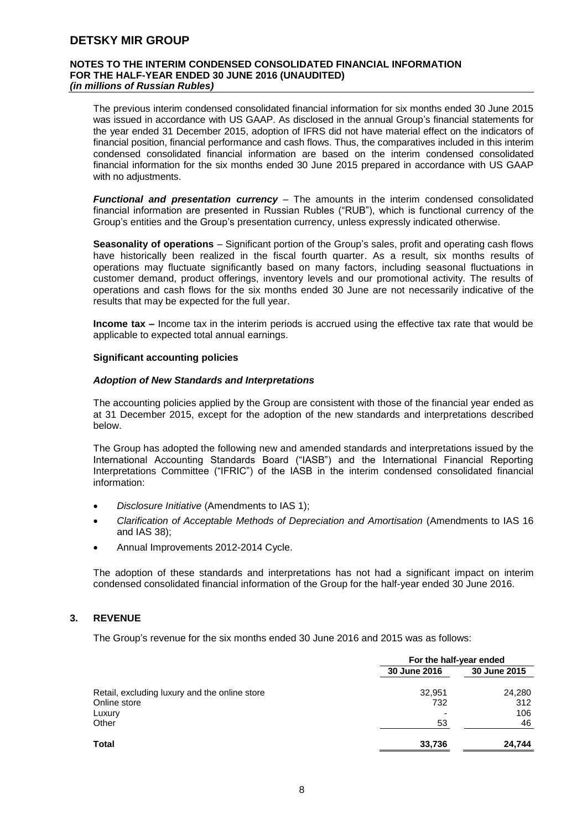#### **NOTES TO THE INTERIM CONDENSED CONSOLIDATED FINANCIAL INFORMATION FOR THE HALF-YEAR ENDED 30 JUNE 2016 (UNAUDITED)** *(in millions of Russian Rubles)*

The previous interim condensed consolidated financial information for six months ended 30 June 2015 was issued in accordance with US GAAP. As disclosed in the annual Group's financial statements for the year ended 31 December 2015, adoption of IFRS did not have material effect on the indicators of financial position, financial performance and cash flows. Thus, the comparatives included in this interim condensed consolidated financial information are based on the interim condensed consolidated financial information for the six months ended 30 June 2015 prepared in accordance with US GAAP with no adjustments.

*Functional and presentation currency* – The amounts in the interim condensed consolidated financial information are presented in Russian Rubles ("RUB"), which is functional currency of the Group's entities and the Group's presentation currency, unless expressly indicated otherwise.

**Seasonality of operations** – Significant portion of the Group's sales, profit and operating cash flows have historically been realized in the fiscal fourth quarter. As a result, six months results of operations may fluctuate significantly based on many factors, including seasonal fluctuations in customer demand, product offerings, inventory levels and our promotional activity. The results of operations and cash flows for the six months ended 30 June are not necessarily indicative of the results that may be expected for the full year.

**Income tax** – Income tax in the interim periods is accrued using the effective tax rate that would be applicable to expected total annual earnings.

#### **Significant accounting policies**

#### *Adoption of New Standards and Interpretations*

The accounting policies applied by the Group are consistent with those of the financial year ended as at 31 December 2015, except for the adoption of the new standards and interpretations described below.

The Group has adopted the following new and amended standards and interpretations issued by the International Accounting Standards Board ("IASB") and the International Financial Reporting Interpretations Committee ("IFRIC") of the IASB in the interim condensed consolidated financial information:

- *Disclosure Initiative* (Amendments to IAS 1);
- *Clarification of Acceptable Methods of Depreciation and Amortisation* (Amendments to IAS 16 and IAS 38);
- Annual Improvements 2012-2014 Cycle.

The adoption of these standards and interpretations has not had a significant impact on interim condensed consolidated financial information of the Group for the half-year ended 30 June 2016.

#### **3. REVENUE**

The Group's revenue for the six months ended 30 June 2016 and 2015 was as follows:

|                                               | For the half-year ended |              |  |
|-----------------------------------------------|-------------------------|--------------|--|
|                                               | 30 June 2016            | 30 June 2015 |  |
| Retail, excluding luxury and the online store | 32,951                  | 24,280       |  |
| Online store                                  | 732                     | 312          |  |
| Luxury                                        |                         | 106          |  |
| Other                                         | 53                      | 46           |  |
| Total                                         | 33,736                  | 24,744       |  |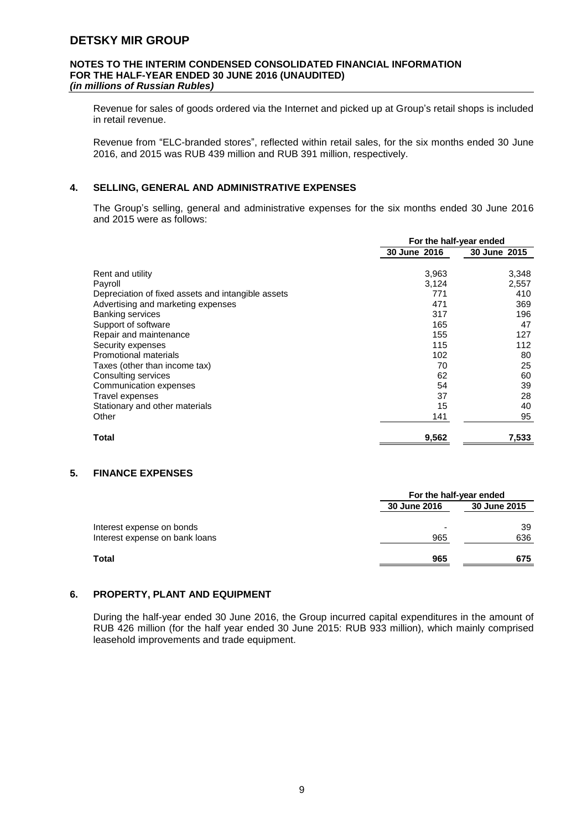#### **NOTES TO THE INTERIM CONDENSED CONSOLIDATED FINANCIAL INFORMATION FOR THE HALF-YEAR ENDED 30 JUNE 2016 (UNAUDITED)** *(in millions of Russian Rubles)*

Revenue for sales of goods ordered via the Internet and picked up at Group's retail shops is included in retail revenue.

Revenue from "ELC-branded stores", reflected within retail sales, for the six months ended 30 June 2016, and 2015 was RUB 439 million and RUB 391 million, respectively.

#### **4. SELLING, GENERAL AND ADMINISTRATIVE EXPENSES**

The Group's selling, general and administrative expenses for the six months ended 30 June 2016 and 2015 were as follows:

|                                                    | For the half-year ended |              |
|----------------------------------------------------|-------------------------|--------------|
|                                                    | 30 June 2016            | 30 June 2015 |
| Rent and utility                                   | 3,963                   | 3,348        |
| Payroll                                            | 3,124                   | 2,557        |
| Depreciation of fixed assets and intangible assets | 771                     | 410          |
| Advertising and marketing expenses                 | 471                     | 369          |
| <b>Banking services</b>                            | 317                     | 196          |
| Support of software                                | 165                     | 47           |
| Repair and maintenance                             | 155                     | 127          |
| Security expenses                                  | 115                     | 112          |
| Promotional materials                              | 102                     | 80           |
| Taxes (other than income tax)                      | 70                      | 25           |
| Consulting services                                | 62                      | 60           |
| Communication expenses                             | 54                      | 39           |
| Travel expenses                                    | 37                      | 28           |
| Stationary and other materials                     | 15                      | 40           |
| Other                                              | 141                     | 95           |
| Total                                              | 9,562                   | 7,533        |

#### **5. FINANCE EXPENSES**

|                                | For the half-year ended |              |
|--------------------------------|-------------------------|--------------|
|                                | 30 June 2016            | 30 June 2015 |
| Interest expense on bonds      |                         | 39           |
| Interest expense on bank loans | 965                     | 636          |
| Total                          | 965                     | 675          |

#### **6. PROPERTY, PLANT AND EQUIPMENT**

During the half-year ended 30 June 2016, the Group incurred capital expenditures in the amount of RUB 426 million (for the half year ended 30 June 2015: RUB 933 million), which mainly comprised leasehold improvements and trade equipment.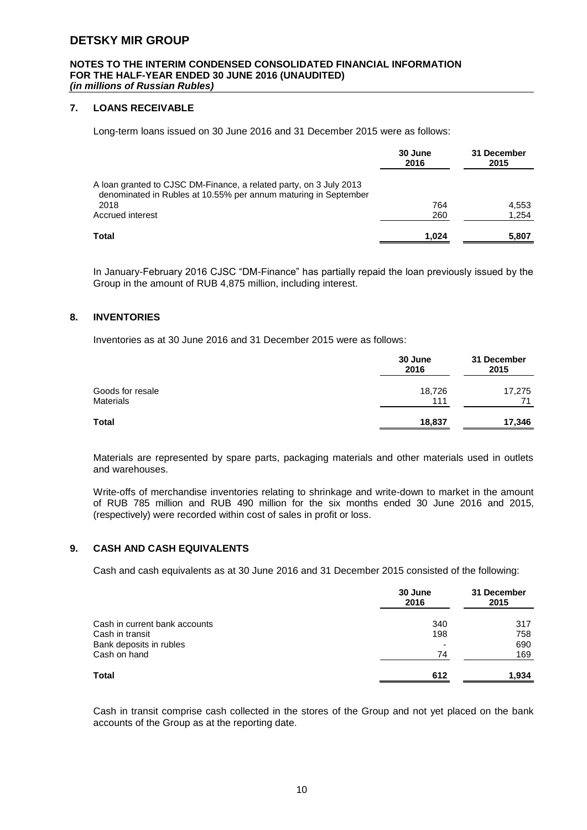#### **NOTES TO THE INTERIM CONDENSED CONSOLIDATED FINANCIAL INFORMATION FOR THE HALF-YEAR ENDED 30 JUNE 2016 (UNAUDITED)** *(in millions of Russian Rubles)*

#### **7. LOANS RECEIVABLE**

Long-term loans issued on 30 June 2016 and 31 December 2015 were as follows:

|                                                                                                                                       | 30 June<br>2016 | 31 December<br>2015 |
|---------------------------------------------------------------------------------------------------------------------------------------|-----------------|---------------------|
| A loan granted to CJSC DM-Finance, a related party, on 3 July 2013<br>denominated in Rubles at 10.55% per annum maturing in September |                 |                     |
| 2018                                                                                                                                  | 764             | 4.553               |
| Accrued interest                                                                                                                      | 260             | 1.254               |
| Total                                                                                                                                 | 1.024           | 5,807               |

In January-February 2016 CJSC "DM-Finance" has partially repaid the loan previously issued by the Group in the amount of RUB 4,875 million, including interest.

#### **8. INVENTORIES**

Inventories as at 30 June 2016 and 31 December 2015 were as follows:

| 30 June | 31 December |
|---------|-------------|
| 2016    | 2015        |
| 18,726  | 17,275      |
| 111     | 71          |
| 18,837  | 17,346      |
|         |             |

Materials are represented by spare parts, packaging materials and other materials used in outlets and warehouses.

Write-offs of merchandise inventories relating to shrinkage and write-down to market in the amount of RUB 785 million and RUB 490 million for the six months ended 30 June 2016 and 2015, (respectively) were recorded within cost of sales in profit or loss.

#### **9. CASH AND CASH EQUIVALENTS**

Cash and cash equivalents as at 30 June 2016 and 31 December 2015 consisted of the following:

|                               | 30 June<br>2016 | 31 December<br>2015 |
|-------------------------------|-----------------|---------------------|
| Cash in current bank accounts | 340             | 317                 |
| Cash in transit               | 198             | 758                 |
| Bank deposits in rubles       | ٠               | 690                 |
| Cash on hand                  | 74              | 169                 |
| Total                         | 612             | 1.934               |

Cash in transit comprise cash collected in the stores of the Group and not yet placed on the bank accounts of the Group as at the reporting date.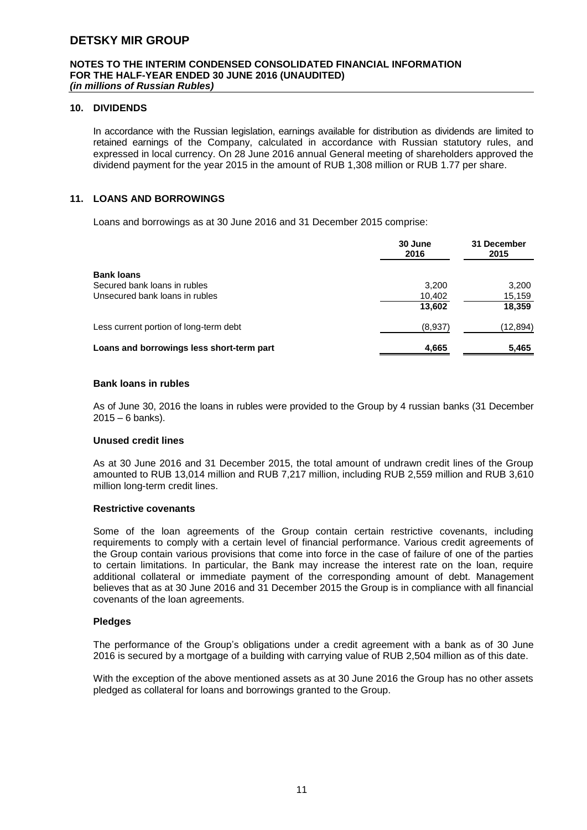#### **NOTES TO THE INTERIM CONDENSED CONSOLIDATED FINANCIAL INFORMATION FOR THE HALF-YEAR ENDED 30 JUNE 2016 (UNAUDITED)** *(in millions of Russian Rubles)*

#### **10. DIVIDENDS**

In accordance with the Russian legislation, earnings available for distribution as dividends are limited to retained earnings of the Company, calculated in accordance with Russian statutory rules, and expressed in local currency. On 28 June 2016 annual General meeting of shareholders approved the dividend payment for the year 2015 in the amount of RUB 1,308 million or RUB 1.77 per share.

#### **11. LOANS AND BORROWINGS**

Loans and borrowings as at 30 June 2016 and 31 December 2015 comprise:

|                                           | 30 June<br>2016 | 31 December<br>2015 |
|-------------------------------------------|-----------------|---------------------|
| <b>Bank loans</b>                         |                 |                     |
| Secured bank loans in rubles              | 3,200           | 3,200               |
| Unsecured bank loans in rubles            | 10,402          | 15,159              |
|                                           | 13,602          | 18,359              |
| Less current portion of long-term debt    | (8,937)         | (12,894)            |
| Loans and borrowings less short-term part | 4,665           | 5,465               |

#### **Bank loans in rubles**

As of June 30, 2016 the loans in rubles were provided to the Group by 4 russian banks (31 December 2015 – 6 banks).

#### **Unused credit lines**

As at 30 June 2016 and 31 December 2015, the total amount of undrawn credit lines of the Group amounted to RUB 13,014 million and RUB 7,217 million, including RUB 2,559 million and RUB 3,610 million long-term credit lines.

#### **Restrictive covenants**

Some of the loan agreements of the Group contain certain restrictive covenants, including requirements to comply with a certain level of financial performance. Various credit agreements of the Group contain various provisions that come into force in the case of failure of one of the parties to certain limitations. In particular, the Bank may increase the interest rate on the loan, require additional collateral or immediate payment of the corresponding amount of debt. Management believes that as at 30 June 2016 and 31 December 2015 the Group is in compliance with all financial covenants of the loan agreements.

#### **Pledges**

The performance of the Group's obligations under a credit agreement with a bank as of 30 June 2016 is secured by a mortgage of a building with carrying value of RUB 2,504 million as of this date.

With the exception of the above mentioned assets as at 30 June 2016 the Group has no other assets pledged as collateral for loans and borrowings granted to the Group.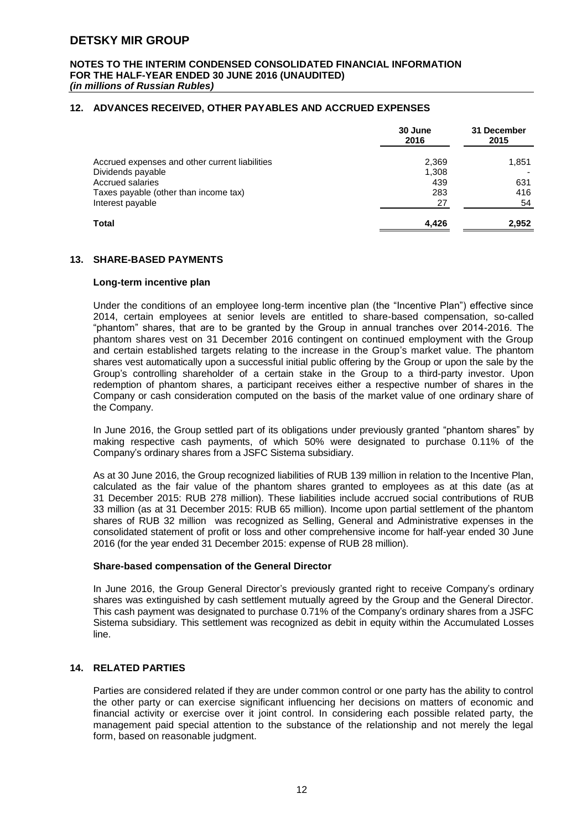#### **NOTES TO THE INTERIM CONDENSED CONSOLIDATED FINANCIAL INFORMATION FOR THE HALF-YEAR ENDED 30 JUNE 2016 (UNAUDITED)** *(in millions of Russian Rubles)*

#### **12. ADVANCES RECEIVED, OTHER PAYABLES AND ACCRUED EXPENSES**

|                                                | 30 June<br>2016 | 31 December<br>2015 |
|------------------------------------------------|-----------------|---------------------|
| Accrued expenses and other current liabilities | 2,369           | 1,851               |
| Dividends payable                              | 1,308           |                     |
| Accrued salaries                               | 439             | 631                 |
| Taxes payable (other than income tax)          | 283             | 416                 |
| Interest payable                               | 27              | 54                  |
| Total                                          | 4.426           | 2.952               |

#### **13. SHARE-BASED PAYMENTS**

#### **Long-term incentive plan**

Under the conditions of an employee long-term incentive plan (the "Incentive Plan") effective since 2014, certain employees at senior levels are entitled to share-based compensation, so-called "phantom" shares, that are to be granted by the Group in annual tranches over 2014-2016. The phantom shares vest on 31 December 2016 contingent on continued employment with the Group and certain established targets relating to the increase in the Group's market value. The phantom shares vest automatically upon a successful initial public offering by the Group or upon the sale by the Group's controlling shareholder of a certain stake in the Group to a third-party investor. Upon redemption of phantom shares, a participant receives either a respective number of shares in the Company or cash consideration computed on the basis of the market value of one ordinary share of the Company.

In June 2016, the Group settled part of its obligations under previously granted "phantom shares" by making respective cash payments, of which 50% were designated to purchase 0.11% of the Company's ordinary shares from a JSFC Sistema subsidiary.

As at 30 June 2016, the Group recognized liabilities of RUB 139 million in relation to the Incentive Plan, calculated as the fair value of the phantom shares granted to employees as at this date (as at 31 December 2015: RUB 278 million). These liabilities include accrued social contributions of RUB 33 million (as at 31 December 2015: RUB 65 million). Income upon partial settlement of the phantom shares of RUB 32 million was recognized as Selling, General and Administrative expenses in the consolidated statement of profit or loss and other comprehensive income for half-year ended 30 June 2016 (for the year ended 31 December 2015: expense of RUB 28 million).

#### **Share-based compensation of the General Director**

In June 2016, the Group General Director's previously granted right to receive Company's ordinary shares was extinguished by cash settlement mutually agreed by the Group and the General Director. This cash payment was designated to purchase 0.71% of the Company's ordinary shares from a JSFC Sistema subsidiary. This settlement was recognized as debit in equity within the Accumulated Losses line.

#### **14. RELATED PARTIES**

Parties are considered related if they are under common control or one party has the ability to control the other party or can exercise significant influencing her decisions on matters of economic and financial activity or exercise over it joint control. In considering each possible related party, the management paid special attention to the substance of the relationship and not merely the legal form, based on reasonable judgment.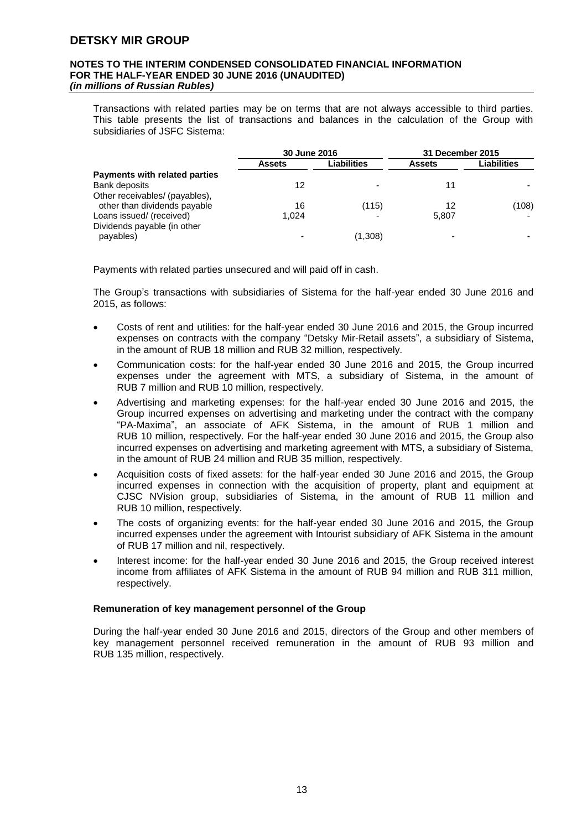#### **NOTES TO THE INTERIM CONDENSED CONSOLIDATED FINANCIAL INFORMATION FOR THE HALF-YEAR ENDED 30 JUNE 2016 (UNAUDITED)** *(in millions of Russian Rubles)*

Transactions with related parties may be on terms that are not always accessible to third parties. This table presents the list of transactions and balances in the calculation of the Group with subsidiaries of JSFC Sistema:

|                                | 30 June 2016 |             | 31 December 2015 |             |
|--------------------------------|--------------|-------------|------------------|-------------|
|                                | Assets       | Liabilities | <b>Assets</b>    | Liabilities |
| Payments with related parties  |              |             |                  |             |
| Bank deposits                  | 12           | ۰           | 11               |             |
| Other receivables/ (payables), |              |             |                  |             |
| other than dividends payable   | 16           | (115)       | 12               | (108)       |
| Loans issued/ (received)       | 1.024        |             | 5.807            |             |
| Dividends payable (in other    |              |             |                  |             |
| payables)                      |              | (1,308)     |                  |             |

Payments with related parties unsecured and will paid off in cash.

The Group's transactions with subsidiaries of Sistema for the half-year ended 30 June 2016 and 2015, as follows:

- Costs of rent and utilities: for the half-year ended 30 June 2016 and 2015, the Group incurred expenses on contracts with the company "Detsky Mir-Retail assets", a subsidiary of Sistema, in the amount of RUB 18 million and RUB 32 million, respectively.
- Communication costs: for the half-year ended 30 June 2016 and 2015, the Group incurred expenses under the agreement with MTS, a subsidiary of Sistema, in the amount of RUB 7 million and RUB 10 million, respectively.
- Advertising and marketing expenses: for the half-year ended 30 June 2016 and 2015, the Group incurred expenses on advertising and marketing under the contract with the company "PA-Maxima", an associate of AFK Sistema, in the amount of RUB 1 million and RUB 10 million, respectively. For the half-year ended 30 June 2016 and 2015, the Group also incurred expenses on advertising and marketing agreement with MTS, a subsidiary of Sistema, in the amount of RUB 24 million and RUB 35 million, respectively.
- Acquisition costs of fixed assets: for the half-year ended 30 June 2016 and 2015, the Group incurred expenses in connection with the acquisition of property, plant and equipment at CJSC NVision group, subsidiaries of Sistema, in the amount of RUB 11 million and RUB 10 million, respectively.
- The costs of organizing events: for the half-year ended 30 June 2016 and 2015, the Group incurred expenses under the agreement with Intourist subsidiary of AFK Sistema in the amount of RUB 17 million and nil, respectively.
- Interest income: for the half-year ended 30 June 2016 and 2015, the Group received interest income from affiliates of AFK Sistema in the amount of RUB 94 million and RUB 311 million, respectively.

#### **Remuneration of key management personnel of the Group**

During the half-year ended 30 June 2016 and 2015, directors of the Group and other members of key management personnel received remuneration in the amount of RUB 93 million and RUB 135 million, respectively.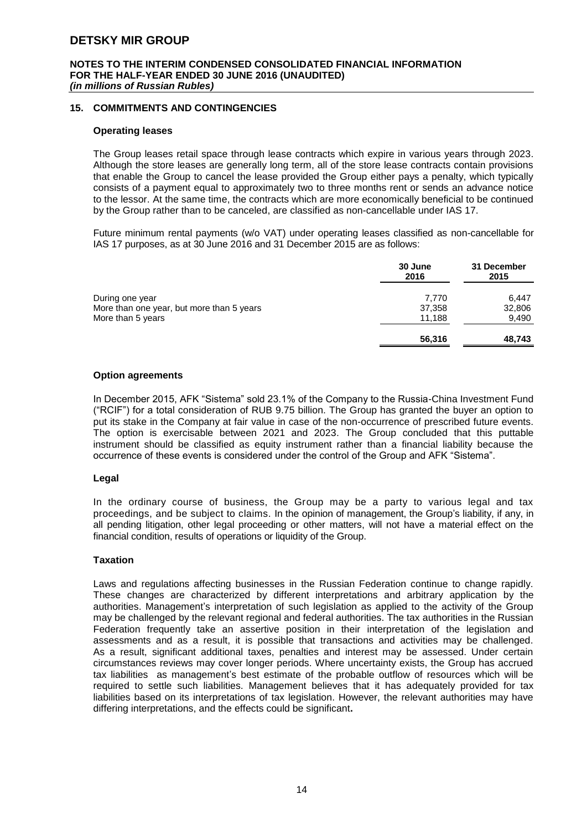#### **NOTES TO THE INTERIM CONDENSED CONSOLIDATED FINANCIAL INFORMATION FOR THE HALF-YEAR ENDED 30 JUNE 2016 (UNAUDITED)** *(in millions of Russian Rubles)*

#### **15. COMMITMENTS AND CONTINGENCIES**

#### **Operating leases**

The Group leases retail space through lease contracts which expire in various years through 2023. Although the store leases are generally long term, all of the store lease contracts contain provisions that enable the Group to cancel the lease provided the Group either pays a penalty, which typically consists of a payment equal to approximately two to three months rent or sends an advance notice to the lessor. At the same time, the contracts which are more economically beneficial to be continued by the Group rather than to be canceled, are classified as non-cancellable under IAS 17.

Future minimum rental payments (w/o VAT) under operating leases classified as non-cancellable for IAS 17 purposes, as at 30 June 2016 and 31 December 2015 are as follows:

|                                           | 30 June<br>2016 | 31 December<br>2015 |
|-------------------------------------------|-----------------|---------------------|
| During one year                           | 7,770           | 6.447               |
| More than one year, but more than 5 years | 37,358          | 32,806              |
| More than 5 years                         | 11.188          | 9,490               |
|                                           | 56,316          | 48,743              |

#### **Option agreements**

In December 2015, AFK "Sistema" sold 23.1% of the Company to the Russia-China Investment Fund ("RCIF") for a total consideration of RUB 9.75 billion. The Group has granted the buyer an option to put its stake in the Company at fair value in case of the non-occurrence of prescribed future events. The option is exercisable between 2021 and 2023. The Group concluded that this puttable instrument should be classified as equity instrument rather than a financial liability because the occurrence of these events is considered under the control of the Group and AFK "Sistema".

#### **Legal**

In the ordinary course of business, the Group may be a party to various legal and tax proceedings, and be subject to claims. In the opinion of management, the Group's liability, if any, in all pending litigation, other legal proceeding or other matters, will not have a material effect on the financial condition, results of operations or liquidity of the Group.

#### **Taxation**

Laws and regulations affecting businesses in the Russian Federation continue to change rapidly. These changes are characterized by different interpretations and arbitrary application by the authorities. Management's interpretation of such legislation as applied to the activity of the Group may be challenged by the relevant regional and federal authorities. The tax authorities in the Russian Federation frequently take an assertive position in their interpretation of the legislation and assessments and as a result, it is possible that transactions and activities may be challenged. As a result, significant additional taxes, penalties and interest may be assessed. Under certain circumstances reviews may cover longer periods. Where uncertainty exists, the Group has accrued tax liabilities as management's best estimate of the probable outflow of resources which will be required to settle such liabilities. Management believes that it has adequately provided for tax liabilities based on its interpretations of tax legislation. However, the relevant authorities may have differing interpretations, and the effects could be significant**.**